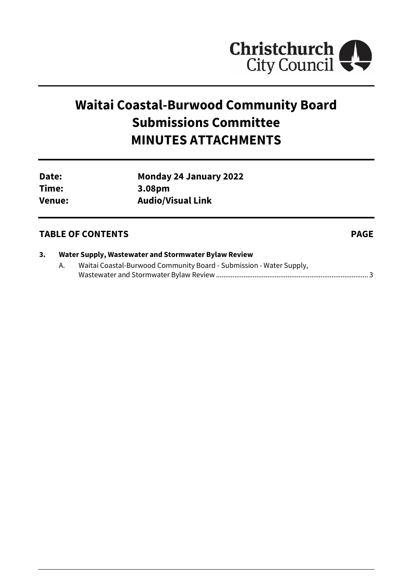

# **Waitai Coastal-Burwood Community Board Submissions Committee MINUTES ATTACHMENTS**

| Date:  | <b>Monday 24 January 2022</b> |
|--------|-------------------------------|
| Time:  | 3.08pm                        |
| Venue: | <b>Audio/Visual Link</b>      |

## **TABLE OF CONTENTS PAGE**

| 3. | Water Supply, Wastewater and Stormwater Bylaw Review |  |
|----|------------------------------------------------------|--|
|    |                                                      |  |

A. Waitai Coastal-Burwood Community Board - Submission - Water Supply, Wastewater and Stormwater Bylaw Review ................................................................................... [3](#page-2-0)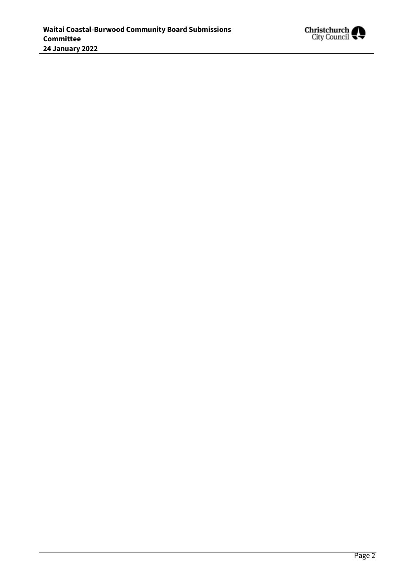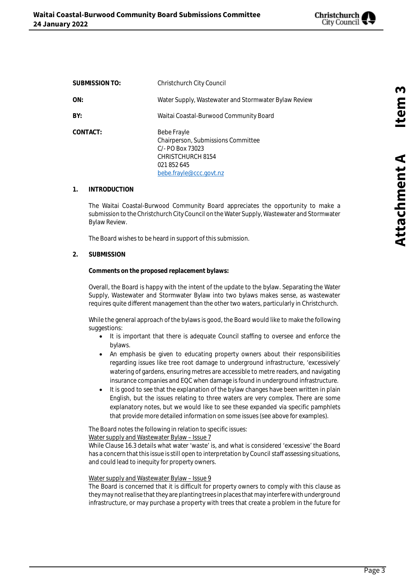<span id="page-2-0"></span>

| <b>SUBMISSION TO:</b> | Christchurch City Council                                                                                                            |
|-----------------------|--------------------------------------------------------------------------------------------------------------------------------------|
| ON:                   | Water Supply, Wastewater and Stormwater Bylaw Review                                                                                 |
| BY:                   | Waitai Coastal-Burwood Community Board                                                                                               |
| CONTACT:              | Bebe Frayle<br>Chairperson, Submissions Committee<br>C/- PO Box 73023<br>CHRISTCHURCH 8154<br>021 852 645<br>bebe.frayle@ccc.govt.nz |

#### **1. INTRODUCTION**

The Waitai Coastal-Burwood Community Board appreciates the opportunity to make a submission to the Christchurch City Council on the Water Supply, Wastewater and Stormwater Bylaw Review.

The Board wishes to be heard in support of this submission.

### **2. SUBMISSION**

**Comments on the proposed replacement bylaws:**

Overall, the Board is happy with the intent of the update to the bylaw. Separating the Water Supply, Wastewater and Stormwater Bylaw into two bylaws makes sense, as wastewater requires quite different management than the other two waters, particularly in Christchurch.

While the general approach of the bylaws is good, the Board would like to make the following suggestions:

- It is important that there is adequate Council staffing to oversee and enforce the bylaws.
- An emphasis be given to educating property owners about their responsibilities regarding issues like tree root damage to underground infrastructure, 'excessively' watering of gardens, ensuring metres are accessible to metre readers, and navigating insurance companies and EQC when damage is found in underground infrastructure.
- It is good to see that the explanation of the bylaw changes have been written in plain English, but the issues relating to three waters are very complex. There are some explanatory notes, but we would like to see these expanded via specific pamphlets that provide more detailed information on some issues (see above for examples).

The Board notes the following in relation to specific issues:

#### Water supply and Wastewater Bylaw – Issue 7

While Clause 16.3 details what water 'waste' is, and what is considered 'excessive' the Board has a concern that this issue is still open to interpretation by Council staff assessing situations, and could lead to inequity for property owners.

#### Water supply and Wastewater Bylaw - Issue 9

The Board is concerned that it is difficult for property owners to comply with this clause as they may not realise that they are planting trees in places that may interfere with underground infrastructure, or may purchase a property with trees that create a problem in the future for